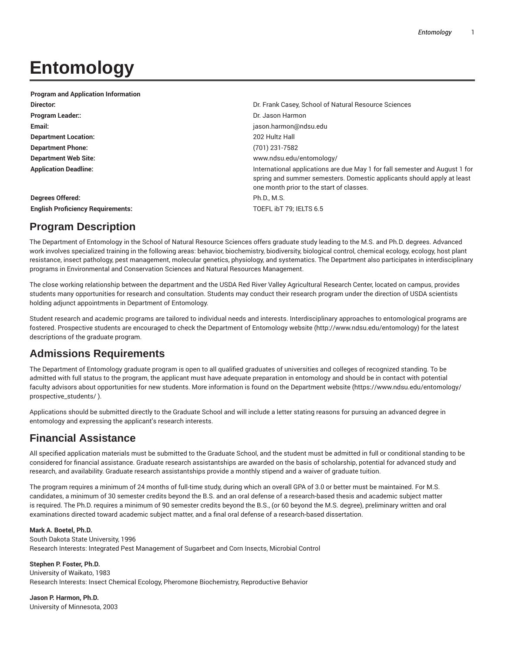# **Entomology**

| <b>Program and Application Information</b> |                                                                                                                                                                                                   |
|--------------------------------------------|---------------------------------------------------------------------------------------------------------------------------------------------------------------------------------------------------|
| Director:                                  | Dr. Frank Casey, School of Natural Resource Sciences                                                                                                                                              |
| <b>Program Leader::</b>                    | Dr. Jason Harmon                                                                                                                                                                                  |
| Email:                                     | jason.harmon@ndsu.edu                                                                                                                                                                             |
| <b>Department Location:</b>                | 202 Hultz Hall                                                                                                                                                                                    |
| <b>Department Phone:</b>                   | (701) 231-7582                                                                                                                                                                                    |
| <b>Department Web Site:</b>                | www.ndsu.edu/entomology/                                                                                                                                                                          |
| <b>Application Deadline:</b>               | International applications are due May 1 for fall semester and August 1 for<br>spring and summer semesters. Domestic applicants should apply at least<br>one month prior to the start of classes. |
| Degrees Offered:                           | Ph.D., M.S.                                                                                                                                                                                       |
| <b>English Proficiency Requirements:</b>   | TOEFL ibT 79: IELTS 6.5                                                                                                                                                                           |
|                                            |                                                                                                                                                                                                   |

# **Program Description**

The Department of Entomology in the School of Natural Resource Sciences offers graduate study leading to the M.S. and Ph.D. degrees. Advanced work involves specialized training in the following areas: behavior, biochemistry, biodiversity, biological control, chemical ecology, ecology, host plant resistance, insect pathology, pest management, molecular genetics, physiology, and systematics. The Department also participates in interdisciplinary programs in Environmental and Conservation Sciences and Natural Resources Management.

The close working relationship between the department and the USDA Red River Valley Agricultural Research Center, located on campus, provides students many opportunities for research and consultation. Students may conduct their research program under the direction of USDA scientists holding adjunct appointments in Department of Entomology.

Student research and academic programs are tailored to individual needs and interests. Interdisciplinary approaches to entomological programs are fostered. Prospective students are encouraged to check the Department of Entomology website (http://www.ndsu.edu/entomology) for the latest descriptions of the graduate program.

# **Admissions Requirements**

The Department of Entomology graduate program is open to all qualified graduates of universities and colleges of recognized standing. To be admitted with full status to the program, the applicant must have adequate preparation in entomology and should be in contact with potential faculty advisors about opportunities for new students. More information is found on the Department website (https://www.ndsu.edu/entomology/ prospective\_students/ ).

Applications should be submitted directly to the Graduate School and will include a letter stating reasons for pursuing an advanced degree in entomology and expressing the applicant's research interests.

# **Financial Assistance**

All specified application materials must be submitted to the Graduate School, and the student must be admitted in full or conditional standing to be considered for financial assistance. Graduate research assistantships are awarded on the basis of scholarship, potential for advanced study and research, and availability. Graduate research assistantships provide a monthly stipend and a waiver of graduate tuition.

The program requires a minimum of 24 months of full-time study, during which an overall GPA of 3.0 or better must be maintained. For M.S. candidates, a minimum of 30 semester credits beyond the B.S. and an oral defense of a research-based thesis and academic subject matter is required. The Ph.D. requires a minimum of 90 semester credits beyond the B.S., (or 60 beyond the M.S. degree), preliminary written and oral examinations directed toward academic subject matter, and a final oral defense of a research-based dissertation.

## **Mark A. Boetel, Ph.D.**

South Dakota State University, 1996 Research Interests: Integrated Pest Management of Sugarbeet and Corn Insects, Microbial Control

**Stephen P. Foster, Ph.D.** University of Waikato, 1983 Research Interests: Insect Chemical Ecology, Pheromone Biochemistry, Reproductive Behavior

**Jason P. Harmon, Ph.D.** University of Minnesota, 2003